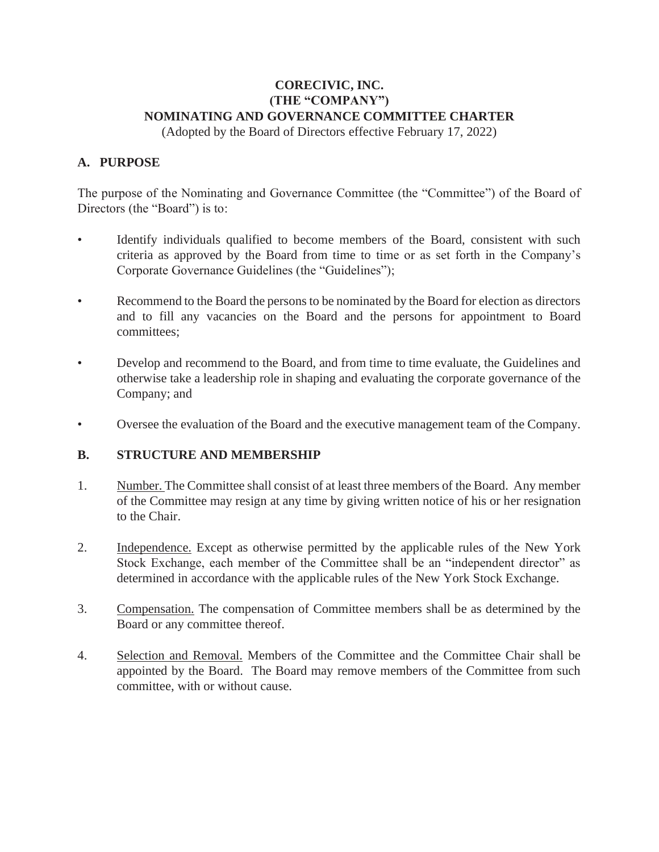## **CORECIVIC, INC. (THE "COMPANY") NOMINATING AND GOVERNANCE COMMITTEE CHARTER**

(Adopted by the Board of Directors effective February 17, 2022)

#### **A. PURPOSE**

The purpose of the Nominating and Governance Committee (the "Committee") of the Board of Directors (the "Board") is to:

- Identify individuals qualified to become members of the Board, consistent with such criteria as approved by the Board from time to time or as set forth in the Company's Corporate Governance Guidelines (the "Guidelines");
- Recommend to the Board the persons to be nominated by the Board for election as directors and to fill any vacancies on the Board and the persons for appointment to Board committees;
- Develop and recommend to the Board, and from time to time evaluate, the Guidelines and otherwise take a leadership role in shaping and evaluating the corporate governance of the Company; and
- Oversee the evaluation of the Board and the executive management team of the Company.

#### **B. STRUCTURE AND MEMBERSHIP**

- 1. Number. The Committee shall consist of at least three members of the Board. Any member of the Committee may resign at any time by giving written notice of his or her resignation to the Chair.
- 2. Independence. Except as otherwise permitted by the applicable rules of the New York Stock Exchange, each member of the Committee shall be an "independent director" as determined in accordance with the applicable rules of the New York Stock Exchange.
- 3. Compensation. The compensation of Committee members shall be as determined by the Board or any committee thereof.
- 4. Selection and Removal. Members of the Committee and the Committee Chair shall be appointed by the Board. The Board may remove members of the Committee from such committee, with or without cause.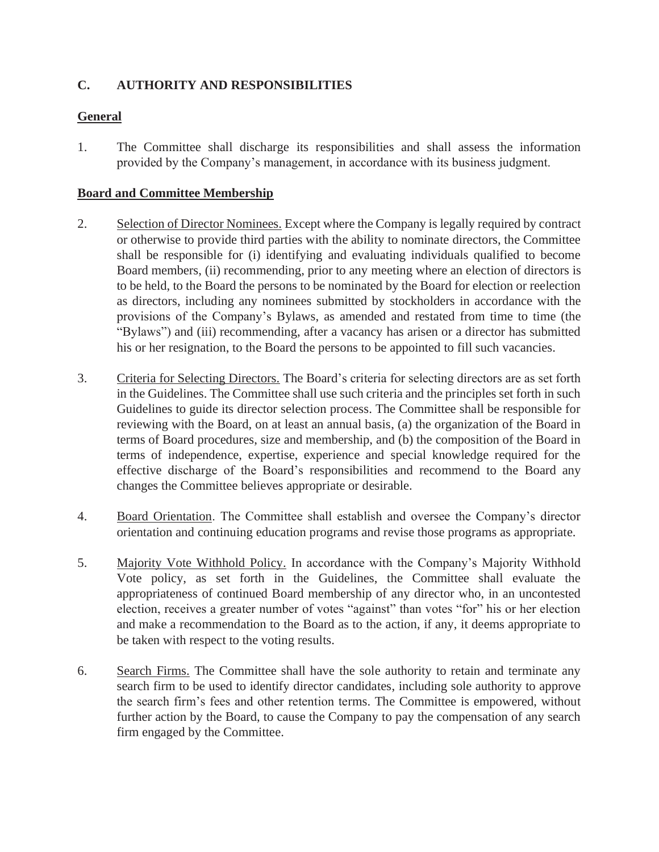# **C. AUTHORITY AND RESPONSIBILITIES**

# **General**

1. The Committee shall discharge its responsibilities and shall assess the information provided by the Company's management, in accordance with its business judgment.

## **Board and Committee Membership**

- 2. Selection of Director Nominees. Except where the Company is legally required by contract or otherwise to provide third parties with the ability to nominate directors, the Committee shall be responsible for (i) identifying and evaluating individuals qualified to become Board members, (ii) recommending, prior to any meeting where an election of directors is to be held, to the Board the persons to be nominated by the Board for election or reelection as directors, including any nominees submitted by stockholders in accordance with the provisions of the Company's Bylaws, as amended and restated from time to time (the "Bylaws") and (iii) recommending, after a vacancy has arisen or a director has submitted his or her resignation, to the Board the persons to be appointed to fill such vacancies.
- 3. Criteria for Selecting Directors. The Board's criteria for selecting directors are as set forth in the Guidelines. The Committee shall use such criteria and the principles set forth in such Guidelines to guide its director selection process. The Committee shall be responsible for reviewing with the Board, on at least an annual basis, (a) the organization of the Board in terms of Board procedures, size and membership, and (b) the composition of the Board in terms of independence, expertise, experience and special knowledge required for the effective discharge of the Board's responsibilities and recommend to the Board any changes the Committee believes appropriate or desirable.
- 4. Board Orientation. The Committee shall establish and oversee the Company's director orientation and continuing education programs and revise those programs as appropriate.
- 5. Majority Vote Withhold Policy. In accordance with the Company's Majority Withhold Vote policy, as set forth in the Guidelines, the Committee shall evaluate the appropriateness of continued Board membership of any director who, in an uncontested election, receives a greater number of votes "against" than votes "for" his or her election and make a recommendation to the Board as to the action, if any, it deems appropriate to be taken with respect to the voting results.
- 6. Search Firms. The Committee shall have the sole authority to retain and terminate any search firm to be used to identify director candidates, including sole authority to approve the search firm's fees and other retention terms. The Committee is empowered, without further action by the Board, to cause the Company to pay the compensation of any search firm engaged by the Committee.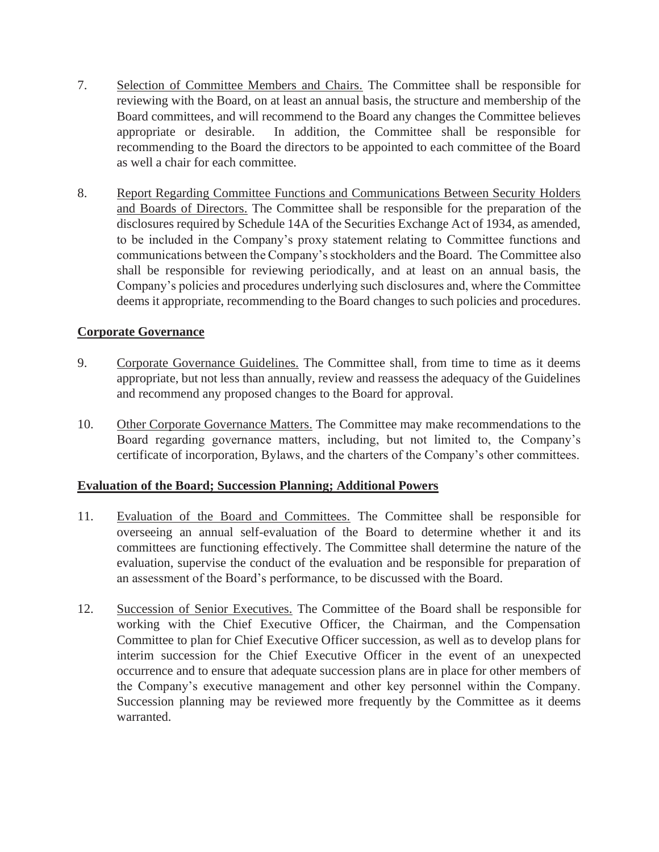- 7. Selection of Committee Members and Chairs. The Committee shall be responsible for reviewing with the Board, on at least an annual basis, the structure and membership of the Board committees, and will recommend to the Board any changes the Committee believes appropriate or desirable. In addition, the Committee shall be responsible for recommending to the Board the directors to be appointed to each committee of the Board as well a chair for each committee.
- 8. Report Regarding Committee Functions and Communications Between Security Holders and Boards of Directors. The Committee shall be responsible for the preparation of the disclosures required by Schedule 14A of the Securities Exchange Act of 1934, as amended, to be included in the Company's proxy statement relating to Committee functions and communications between the Company's stockholders and the Board. The Committee also shall be responsible for reviewing periodically, and at least on an annual basis, the Company's policies and procedures underlying such disclosures and, where the Committee deems it appropriate, recommending to the Board changes to such policies and procedures.

## **Corporate Governance**

- 9. Corporate Governance Guidelines. The Committee shall, from time to time as it deems appropriate, but not less than annually, review and reassess the adequacy of the Guidelines and recommend any proposed changes to the Board for approval.
- 10. Other Corporate Governance Matters. The Committee may make recommendations to the Board regarding governance matters, including, but not limited to, the Company's certificate of incorporation, Bylaws, and the charters of the Company's other committees.

#### **Evaluation of the Board; Succession Planning; Additional Powers**

- 11. Evaluation of the Board and Committees. The Committee shall be responsible for overseeing an annual self-evaluation of the Board to determine whether it and its committees are functioning effectively. The Committee shall determine the nature of the evaluation, supervise the conduct of the evaluation and be responsible for preparation of an assessment of the Board's performance, to be discussed with the Board.
- 12. Succession of Senior Executives. The Committee of the Board shall be responsible for working with the Chief Executive Officer, the Chairman, and the Compensation Committee to plan for Chief Executive Officer succession, as well as to develop plans for interim succession for the Chief Executive Officer in the event of an unexpected occurrence and to ensure that adequate succession plans are in place for other members of the Company's executive management and other key personnel within the Company. Succession planning may be reviewed more frequently by the Committee as it deems warranted.